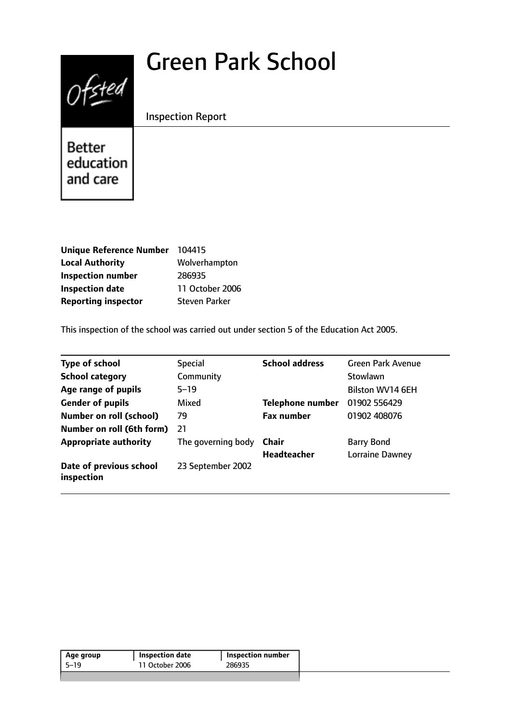# Green Park School



Inspection Report

Better education and care

| Unique Reference Number 104415 |                      |
|--------------------------------|----------------------|
| <b>Local Authority</b>         | Wolverhampton        |
| <b>Inspection number</b>       | 286935               |
| <b>Inspection date</b>         | 11 October 2006      |
| <b>Reporting inspector</b>     | <b>Steven Parker</b> |

This inspection of the school was carried out under section 5 of the Education Act 2005.

| <b>Type of school</b>                 | <b>Special</b>     | <b>School address</b>   | <b>Green Park Avenue</b> |
|---------------------------------------|--------------------|-------------------------|--------------------------|
| <b>School category</b>                | Community          |                         | Stowlawn                 |
| Age range of pupils                   | $5 - 19$           |                         | Bilston WV14 6EH         |
| <b>Gender of pupils</b>               | Mixed              | <b>Telephone number</b> | 01902 556429             |
| <b>Number on roll (school)</b>        | 79                 | <b>Fax number</b>       | 01902 408076             |
| Number on roll (6th form)             | 21                 |                         |                          |
| <b>Appropriate authority</b>          | The governing body | Chair                   | <b>Barry Bond</b>        |
|                                       |                    | <b>Headteacher</b>      | Lorraine Dawney          |
| Date of previous school<br>inspection | 23 September 2002  |                         |                          |

| Age group | Inspection date | <b>Inspection number</b> |
|-----------|-----------------|--------------------------|
| 5-19      | 11 October 2006 | 286935                   |
|           |                 |                          |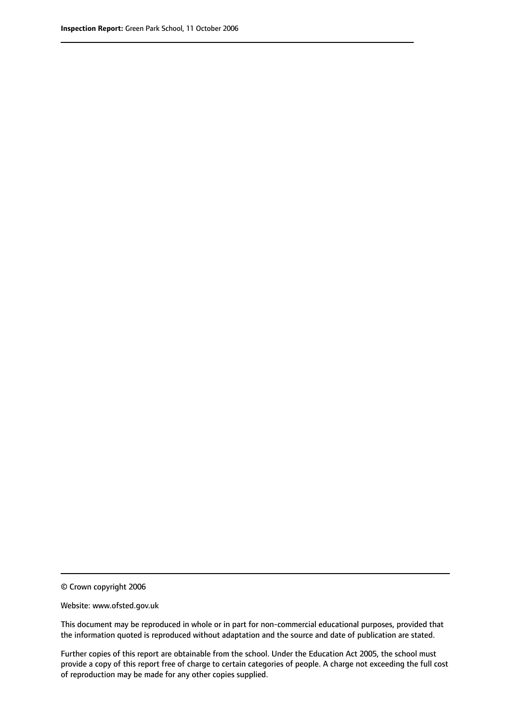© Crown copyright 2006

Website: www.ofsted.gov.uk

This document may be reproduced in whole or in part for non-commercial educational purposes, provided that the information quoted is reproduced without adaptation and the source and date of publication are stated.

Further copies of this report are obtainable from the school. Under the Education Act 2005, the school must provide a copy of this report free of charge to certain categories of people. A charge not exceeding the full cost of reproduction may be made for any other copies supplied.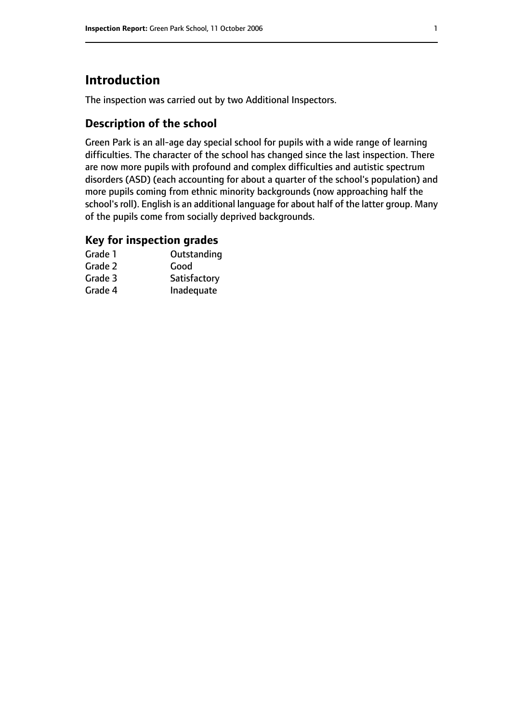# **Introduction**

The inspection was carried out by two Additional Inspectors.

## **Description of the school**

Green Park is an all-age day special school for pupils with a wide range of learning difficulties. The character of the school has changed since the last inspection. There are now more pupils with profound and complex difficulties and autistic spectrum disorders (ASD) (each accounting for about a quarter of the school's population) and more pupils coming from ethnic minority backgrounds (now approaching half the school's roll). English is an additional language for about half of the latter group. Many of the pupils come from socially deprived backgrounds.

### **Key for inspection grades**

| Grade 1 | Outstanding  |
|---------|--------------|
| Grade 2 | Good         |
| Grade 3 | Satisfactory |
| Grade 4 | Inadequate   |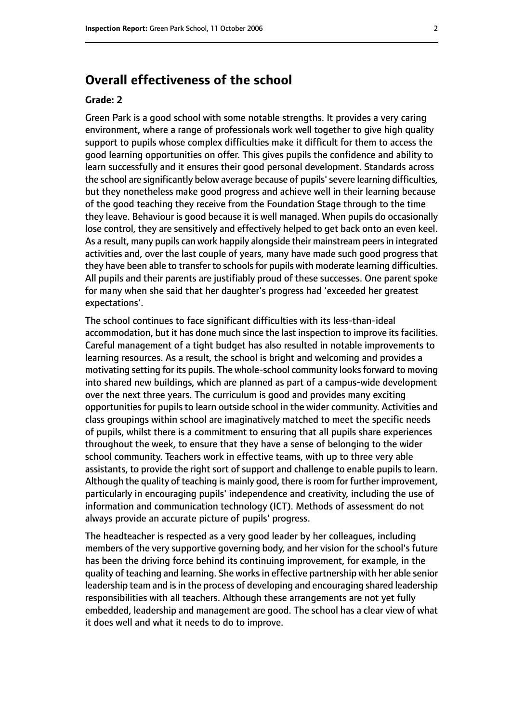# **Overall effectiveness of the school**

#### **Grade: 2**

Green Park is a good school with some notable strengths. It provides a very caring environment, where a range of professionals work well together to give high quality support to pupils whose complex difficulties make it difficult for them to access the good learning opportunities on offer. This gives pupils the confidence and ability to learn successfully and it ensures their good personal development. Standards across the school are significantly below average because of pupils'severe learning difficulties, but they nonetheless make good progress and achieve well in their learning because of the good teaching they receive from the Foundation Stage through to the time they leave. Behaviour is good because it is well managed. When pupils do occasionally lose control, they are sensitively and effectively helped to get back onto an even keel. As a result, many pupils can work happily alongside their mainstream peers in integrated activities and, over the last couple of years, many have made such good progress that they have been able to transfer to schools for pupils with moderate learning difficulties. All pupils and their parents are justifiably proud of these successes. One parent spoke for many when she said that her daughter's progress had 'exceeded her greatest expectations'.

The school continues to face significant difficulties with its less-than-ideal accommodation, but it has done much since the last inspection to improve its facilities. Careful management of a tight budget has also resulted in notable improvements to learning resources. As a result, the school is bright and welcoming and provides a motivating setting for its pupils. The whole-school community looks forward to moving into shared new buildings, which are planned as part of a campus-wide development over the next three years. The curriculum is good and provides many exciting opportunities for pupils to learn outside school in the wider community. Activities and class groupings within school are imaginatively matched to meet the specific needs of pupils, whilst there is a commitment to ensuring that all pupils share experiences throughout the week, to ensure that they have a sense of belonging to the wider school community. Teachers work in effective teams, with up to three very able assistants, to provide the right sort of support and challenge to enable pupils to learn. Although the quality of teaching is mainly good, there is room for further improvement, particularly in encouraging pupils' independence and creativity, including the use of information and communication technology (ICT). Methods of assessment do not always provide an accurate picture of pupils' progress.

The headteacher is respected as a very good leader by her colleagues, including members of the very supportive governing body, and her vision for the school's future has been the driving force behind its continuing improvement, for example, in the quality of teaching and learning. She worksin effective partnership with her able senior leadership team and is in the process of developing and encouraging shared leadership responsibilities with all teachers. Although these arrangements are not yet fully embedded, leadership and management are good. The school has a clear view of what it does well and what it needs to do to improve.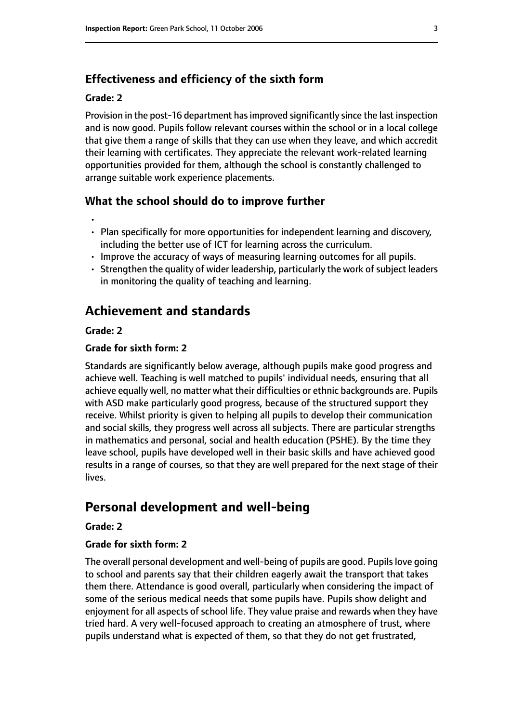## **Effectiveness and efficiency of the sixth form**

#### **Grade: 2**

Provision in the post-16 department has improved significantly since the last inspection and is now good. Pupils follow relevant courses within the school or in a local college that give them a range of skills that they can use when they leave, and which accredit their learning with certificates. They appreciate the relevant work-related learning opportunities provided for them, although the school is constantly challenged to arrange suitable work experience placements.

#### **What the school should do to improve further**

- •
- Plan specifically for more opportunities for independent learning and discovery, including the better use of ICT for learning across the curriculum.
- Improve the accuracy of ways of measuring learning outcomes for all pupils.
- $\cdot$  Strengthen the quality of wider leadership, particularly the work of subject leaders in monitoring the quality of teaching and learning.

# **Achievement and standards**

#### **Grade: 2**

#### **Grade for sixth form: 2**

Standards are significantly below average, although pupils make good progress and achieve well. Teaching is well matched to pupils' individual needs, ensuring that all achieve equally well, no matter what their difficulties or ethnic backgrounds are. Pupils with ASD make particularly good progress, because of the structured support they receive. Whilst priority is given to helping all pupils to develop their communication and social skills, they progress well across all subjects. There are particular strengths in mathematics and personal, social and health education (PSHE). By the time they leave school, pupils have developed well in their basic skills and have achieved good results in a range of courses, so that they are well prepared for the next stage of their lives.

# **Personal development and well-being**

#### **Grade: 2**

#### **Grade for sixth form: 2**

The overall personal development and well-being of pupils are good. Pupilslove going to school and parents say that their children eagerly await the transport that takes them there. Attendance is good overall, particularly when considering the impact of some of the serious medical needs that some pupils have. Pupils show delight and enjoyment for all aspects of school life. They value praise and rewards when they have tried hard. A very well-focused approach to creating an atmosphere of trust, where pupils understand what is expected of them, so that they do not get frustrated,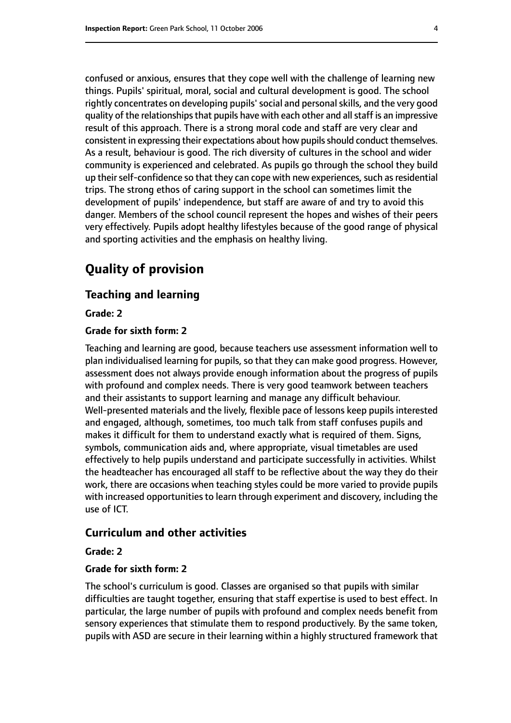confused or anxious, ensures that they cope well with the challenge of learning new things. Pupils' spiritual, moral, social and cultural development is good. The school rightly concentrates on developing pupils'social and personalskills, and the very good quality of the relationships that pupils have with each other and all staff is an impressive result of this approach. There is a strong moral code and staff are very clear and consistent in expressing their expectations about how pupils should conduct themselves. As a result, behaviour is good. The rich diversity of cultures in the school and wider community is experienced and celebrated. As pupils go through the school they build up their self-confidence so that they can cope with new experiences, such as residential trips. The strong ethos of caring support in the school can sometimes limit the development of pupils' independence, but staff are aware of and try to avoid this danger. Members of the school council represent the hopes and wishes of their peers very effectively. Pupils adopt healthy lifestyles because of the good range of physical and sporting activities and the emphasis on healthy living.

# **Quality of provision**

#### **Teaching and learning**

**Grade: 2**

#### **Grade for sixth form: 2**

Teaching and learning are good, because teachers use assessment information well to plan individualised learning for pupils, so that they can make good progress. However, assessment does not always provide enough information about the progress of pupils with profound and complex needs. There is very good teamwork between teachers and their assistants to support learning and manage any difficult behaviour. Well-presented materials and the lively, flexible pace of lessons keep pupils interested and engaged, although, sometimes, too much talk from staff confuses pupils and makes it difficult for them to understand exactly what is required of them. Signs, symbols, communication aids and, where appropriate, visual timetables are used effectively to help pupils understand and participate successfully in activities. Whilst the headteacher has encouraged all staff to be reflective about the way they do their work, there are occasions when teaching styles could be more varied to provide pupils with increased opportunities to learn through experiment and discovery, including the use of ICT.

#### **Curriculum and other activities**

#### **Grade: 2**

#### **Grade for sixth form: 2**

The school's curriculum is good. Classes are organised so that pupils with similar difficulties are taught together, ensuring that staff expertise is used to best effect. In particular, the large number of pupils with profound and complex needs benefit from sensory experiences that stimulate them to respond productively. By the same token, pupils with ASD are secure in their learning within a highly structured framework that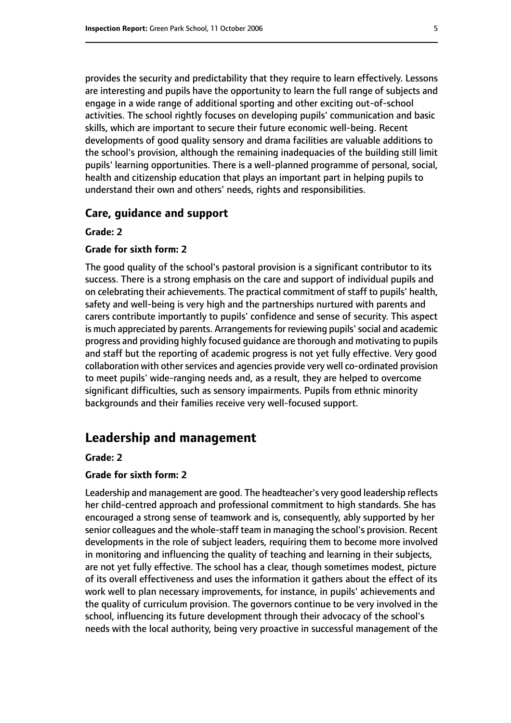provides the security and predictability that they require to learn effectively. Lessons are interesting and pupils have the opportunity to learn the full range of subjects and engage in a wide range of additional sporting and other exciting out-of-school activities. The school rightly focuses on developing pupils' communication and basic skills, which are important to secure their future economic well-being. Recent developments of good quality sensory and drama facilities are valuable additions to the school's provision, although the remaining inadequacies of the building still limit pupils' learning opportunities. There is a well-planned programme of personal, social, health and citizenship education that plays an important part in helping pupils to understand their own and others' needs, rights and responsibilities.

#### **Care, guidance and support**

#### **Grade: 2**

#### **Grade for sixth form: 2**

The good quality of the school's pastoral provision is a significant contributor to its success. There is a strong emphasis on the care and support of individual pupils and on celebrating their achievements. The practical commitment of staff to pupils' health, safety and well-being is very high and the partnerships nurtured with parents and carers contribute importantly to pupils' confidence and sense of security. This aspect is much appreciated by parents. Arrangements for reviewing pupils' social and academic progress and providing highly focused guidance are thorough and motivating to pupils and staff but the reporting of academic progress is not yet fully effective. Very good collaboration with other services and agencies provide very well co-ordinated provision to meet pupils' wide-ranging needs and, as a result, they are helped to overcome significant difficulties, such as sensory impairments. Pupils from ethnic minority backgrounds and their families receive very well-focused support.

# **Leadership and management**

#### **Grade: 2**

#### **Grade for sixth form: 2**

Leadership and management are good. The headteacher's very good leadership reflects her child-centred approach and professional commitment to high standards. She has encouraged a strong sense of teamwork and is, consequently, ably supported by her senior colleagues and the whole-staff team in managing the school's provision. Recent developments in the role of subject leaders, requiring them to become more involved in monitoring and influencing the quality of teaching and learning in their subjects, are not yet fully effective. The school has a clear, though sometimes modest, picture of its overall effectiveness and uses the information it gathers about the effect of its work well to plan necessary improvements, for instance, in pupils' achievements and the quality of curriculum provision. The governors continue to be very involved in the school, influencing its future development through their advocacy of the school's needs with the local authority, being very proactive in successful management of the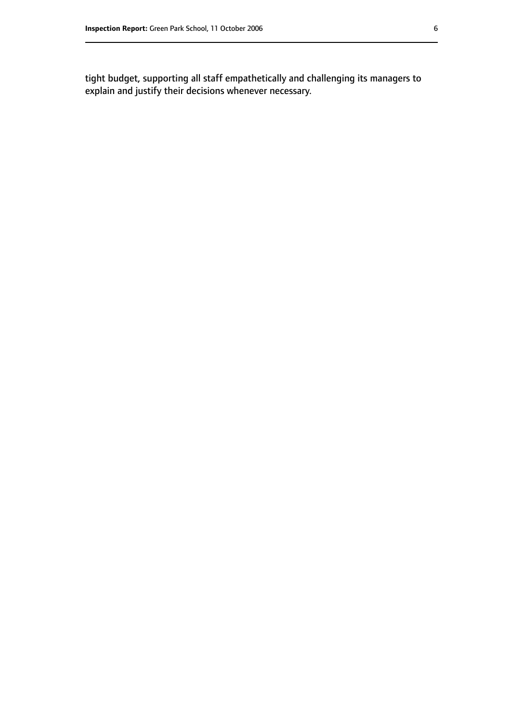tight budget, supporting all staff empathetically and challenging its managers to explain and justify their decisions whenever necessary.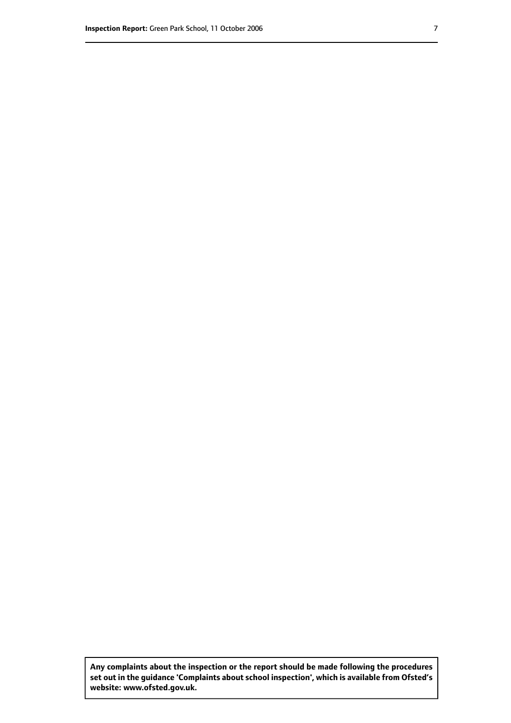**Any complaints about the inspection or the report should be made following the procedures set out inthe guidance 'Complaints about school inspection', whichis available from Ofsted's website: www.ofsted.gov.uk.**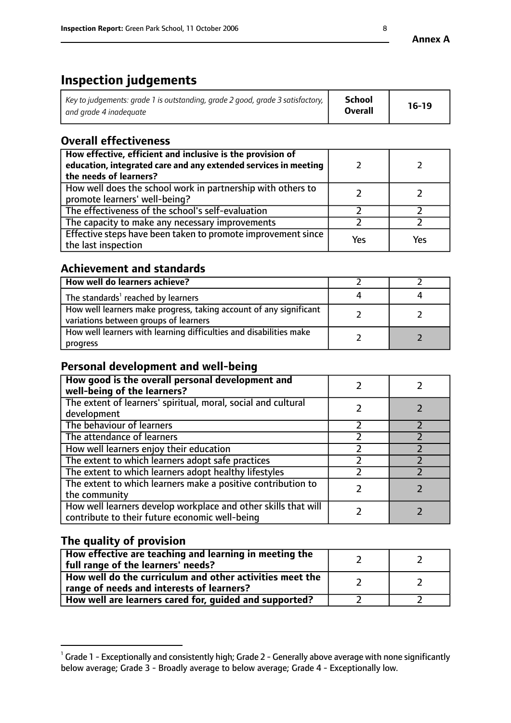# **Inspection judgements**

| Key to judgements: grade 1 is outstanding, grade 2 good, grade 3 satisfactory, $\parallel$ | <b>School</b>  | $16-19$ |
|--------------------------------------------------------------------------------------------|----------------|---------|
| and grade 4 inadeguate                                                                     | <b>Overall</b> |         |

# **Overall effectiveness**

| How effective, efficient and inclusive is the provision of<br>education, integrated care and any extended services in meeting<br>the needs of learners? |     |     |
|---------------------------------------------------------------------------------------------------------------------------------------------------------|-----|-----|
| How well does the school work in partnership with others to<br>promote learners' well-being?                                                            |     |     |
| The effectiveness of the school's self-evaluation                                                                                                       |     |     |
| The capacity to make any necessary improvements                                                                                                         |     |     |
| Effective steps have been taken to promote improvement since<br>the last inspection                                                                     | Yes | Yes |

## **Achievement and standards**

| How well do learners achieve?                                                                               |  |
|-------------------------------------------------------------------------------------------------------------|--|
| The standards <sup>1</sup> reached by learners                                                              |  |
| How well learners make progress, taking account of any significant<br>variations between groups of learners |  |
| How well learners with learning difficulties and disabilities make<br>progress                              |  |

## **Personal development and well-being**

| How good is the overall personal development and<br>well-being of the learners?                                  |  |
|------------------------------------------------------------------------------------------------------------------|--|
| The extent of learners' spiritual, moral, social and cultural<br>development                                     |  |
| The behaviour of learners                                                                                        |  |
| The attendance of learners                                                                                       |  |
| How well learners enjoy their education                                                                          |  |
| The extent to which learners adopt safe practices                                                                |  |
| The extent to which learners adopt healthy lifestyles                                                            |  |
| The extent to which learners make a positive contribution to<br>the community                                    |  |
| How well learners develop workplace and other skills that will<br>contribute to their future economic well-being |  |

# **The quality of provision**

| How effective are teaching and learning in meeting the<br>full range of the learners' needs?          |  |
|-------------------------------------------------------------------------------------------------------|--|
| How well do the curriculum and other activities meet the<br>range of needs and interests of learners? |  |
| How well are learners cared for, guided and supported?                                                |  |

 $^1$  Grade 1 - Exceptionally and consistently high; Grade 2 - Generally above average with none significantly below average; Grade 3 - Broadly average to below average; Grade 4 - Exceptionally low.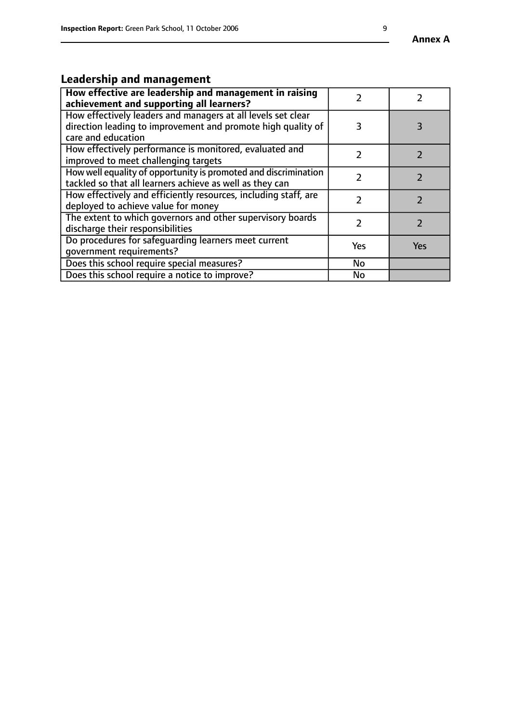# **Leadership and management**

| How effective are leadership and management in raising<br>achievement and supporting all learners?                                                 |     |            |
|----------------------------------------------------------------------------------------------------------------------------------------------------|-----|------------|
| How effectively leaders and managers at all levels set clear<br>direction leading to improvement and promote high quality of<br>care and education | 3   | 3          |
| How effectively performance is monitored, evaluated and<br>improved to meet challenging targets                                                    | フ   |            |
| How well equality of opportunity is promoted and discrimination<br>tackled so that all learners achieve as well as they can                        |     |            |
| How effectively and efficiently resources, including staff, are<br>deployed to achieve value for money                                             | 7   |            |
| The extent to which governors and other supervisory boards<br>discharge their responsibilities                                                     |     |            |
| Do procedures for safeguarding learners meet current<br>qovernment requirements?                                                                   | Yes | <b>Yes</b> |
| Does this school require special measures?                                                                                                         | No  |            |
| Does this school require a notice to improve?                                                                                                      | No  |            |